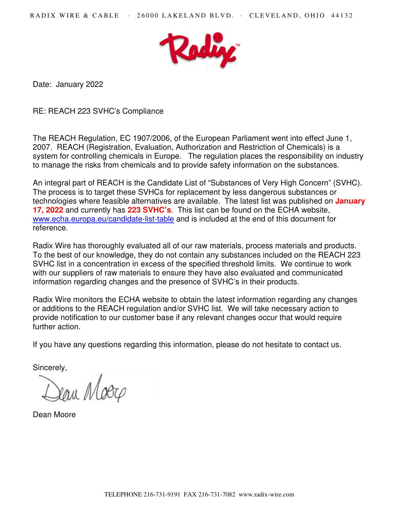

Date: January 2022

RE: REACH 223 SVHC's Compliance

The REACH Regulation, EC 1907/2006, of the European Parliament went into effect June 1, 2007. REACH (Registration, Evaluation, Authorization and Restriction of Chemicals) is a system for controlling chemicals in Europe. The regulation places the responsibility on industry to manage the risks from chemicals and to provide safety information on the substances.

An integral part of REACH is the Candidate List of "Substances of Very High Concern" (SVHC). The process is to target these SVHCs for replacement by less dangerous substances or technologies where feasible alternatives are available. The latest list was published on **January 17, 2022** and currently has **223 SVHC's**. This list can be found on the ECHA website, www.echa.europa.eu/candidate-list-table and is included at the end of this document for reference.

Radix Wire has thoroughly evaluated all of our raw materials, process materials and products. To the best of our knowledge, they do not contain any substances included on the REACH 223 SVHC list in a concentration in excess of the specified threshold limits. We continue to work with our suppliers of raw materials to ensure they have also evaluated and communicated information regarding changes and the presence of SVHC's in their products.

Radix Wire monitors the ECHA website to obtain the latest information regarding any changes or additions to the REACH regulation and/or SVHC list. We will take necessary action to provide notification to our customer base if any relevant changes occur that would require further action.

If you have any questions regarding this information, please do not hesitate to contact us.

Sincerely,

eau Moog

Dean Moore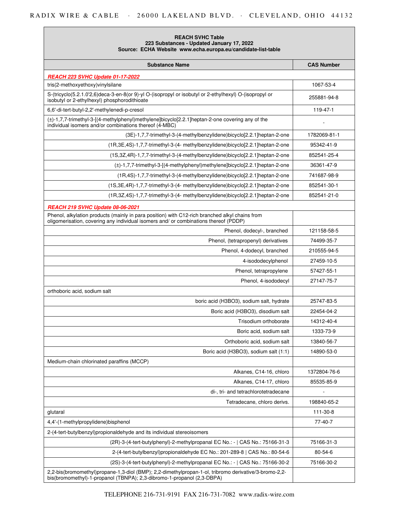# RADIX WIRE & CABLE · 26000 LAKELAND BLVD. · CLEVELAND, OHIO 44132

| <b>REACH SVHC Table</b><br>223 Substances - Updated January 17, 2022<br>Source: ECHA Website www.echa.europa.eu/candidate-list-table                                                   |                   |
|----------------------------------------------------------------------------------------------------------------------------------------------------------------------------------------|-------------------|
| <b>Substance Name</b>                                                                                                                                                                  | <b>CAS Number</b> |
| <b>REACH 223 SVHC Update 01-17-2022</b>                                                                                                                                                |                   |
| tris(2-methoxyethoxy)vinylsilane                                                                                                                                                       | 1067-53-4         |
| S-(tricyclo(5.2.1.0'2,6)deca-3-en-8(or 9)-yl O-(isopropyl or isobutyl or 2-ethylhexyl) O-(isopropyl or<br>isobutyl or 2-ethylhexyl) phosphorodithioate                                 | 255881-94-8       |
| 6,6'-di-tert-butyl-2,2'-methylenedi-p-cresol                                                                                                                                           | 119-47-1          |
| (±)-1,7,7-trimethyl-3-[(4-methylphenyl)methylene]bicyclo[2.2.1]heptan-2-one covering any of the<br>individual isomers and/or combinations thereof (4-MBC)                              |                   |
| (3E)-1,7,7-trimethyl-3-(4-methylbenzylidene)bicyclo[2.2.1]heptan-2-one                                                                                                                 | 1782069-81-1      |
| (1R,3E,4S)-1,7,7-trimethyl-3-(4- methylbenzylidene)bicyclo[2.2.1]heptan-2-one                                                                                                          | 95342-41-9        |
| (1S,3Z,4R)-1,7,7-trimethyl-3-(4-methylbenzylidene)bicyclo[2.2.1]heptan-2-one                                                                                                           | 852541-25-4       |
| (±)-1,7,7-trimethyl-3-[(4-methylphenyl)methylene]bicyclo[2.2.1]heptan-2-one                                                                                                            | 36361-47-9        |
| (1R,4S)-1,7,7-trimethyl-3-(4-methylbenzylidene)bicyclo[2.2.1]heptan-2-one                                                                                                              | 741687-98-9       |
| (1S,3E,4R)-1,7,7-trimethyl-3-(4- methylbenzylidene)bicyclo[2.2.1]heptan-2-one                                                                                                          | 852541-30-1       |
| (1R,3Z,4S)-1,7,7-trimethyl-3-(4- methylbenzylidene)bicyclo[2.2.1]heptan-2-one                                                                                                          | 852541-21-0       |
| REACH 219 SVHC Update 08-06-2021                                                                                                                                                       |                   |
| Phenol, alkylation products (mainly in para position) with C12-rich branched alkyl chains from<br>oligomerisation, covering any individual isomers and/ or combinations thereof (PDDP) |                   |
| Phenol, dodecyl-, branched                                                                                                                                                             | 121158-58-5       |
| Phenol, (tetrapropenyl) derivatives                                                                                                                                                    | 74499-35-7        |
| Phenol, 4-dodecyl, branched                                                                                                                                                            | 210555-94-5       |
| 4-isododecylphenol                                                                                                                                                                     | 27459-10-5        |
| Phenol, tetrapropylene                                                                                                                                                                 | 57427-55-1        |
| Phenol, 4-isododecyl                                                                                                                                                                   | 27147-75-7        |
| orthoboric acid, sodium salt                                                                                                                                                           |                   |
| boric acid (H3BO3), sodium salt, hydrate                                                                                                                                               | 25747-83-5        |
| Boric acid (H3BO3), disodium salt                                                                                                                                                      | 22454-04-2        |
| Trisodium orthoborate                                                                                                                                                                  | 14312-40-4        |
| Boric acid, sodium salt                                                                                                                                                                | 1333-73-9         |
| Orthoboric acid, sodium salt                                                                                                                                                           | 13840-56-7        |
| Boric acid (H3BO3), sodium salt (1:1)                                                                                                                                                  | 14890-53-0        |
| Medium-chain chlorinated paraffins (MCCP)                                                                                                                                              |                   |
| Alkanes, C14-16, chloro                                                                                                                                                                | 1372804-76-6      |
| Alkanes, C14-17, chloro                                                                                                                                                                | 85535-85-9        |
| di-, tri- and tetrachlorotetradecane                                                                                                                                                   |                   |
| Tetradecane, chloro derivs.                                                                                                                                                            | 198840-65-2       |
| glutaral                                                                                                                                                                               | 111-30-8          |
| 4,4'-(1-methylpropylidene)bisphenol                                                                                                                                                    | $77-40-7$         |
| 2-(4-tert-butylbenzyl)propionaldehyde and its individual stereoisomers                                                                                                                 |                   |
| (2R)-3-(4-tert-butylphenyl)-2-methylpropanal EC No.: -   CAS No.: 75166-31-3                                                                                                           | 75166-31-3        |
| 2-(4-tert-butylbenzyl)propionaldehyde EC No.: 201-289-8   CAS No.: 80-54-6                                                                                                             | 80-54-6           |
| (2S)-3-(4-tert-butylphenyl)-2-methylpropanal EC No.: -   CAS No.: 75166-30-2                                                                                                           | 75166-30-2        |
| 2,2-bis(bromomethyl)propane-1,3-diol (BMP); 2,2-dimethylpropan-1-ol, tribromo derivative/3-bromo-2,2-<br>bis(bromomethyl)-1-propanol (TBNPA); 2,3-dibromo-1-propanol (2,3-DBPA)        |                   |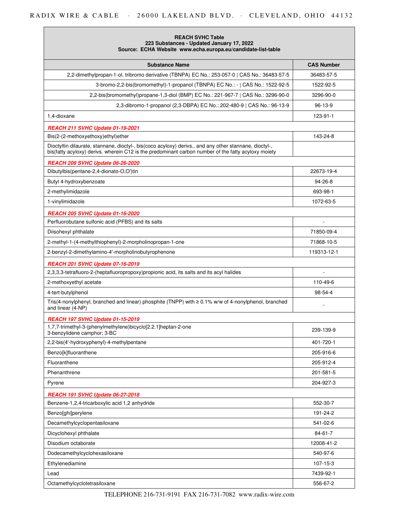| <b>REACH SVHC Table</b><br>223 Substances - Updated January 17, 2022<br>Source: ECHA Website www.echa.europa.eu/candidate-list-table                                                                          |                   |
|---------------------------------------------------------------------------------------------------------------------------------------------------------------------------------------------------------------|-------------------|
| <b>Substance Name</b>                                                                                                                                                                                         | <b>CAS Number</b> |
| 2,2-dimethylpropan-1-ol, tribromo derivative (TBNPA) EC No.: 253-057-0   CAS No.: 36483-57-5                                                                                                                  | 36483-57-5        |
| 3-bromo-2,2-bis(bromomethyl)-1-propanol (TBNPA) EC No.: -   CAS No.: 1522-92-5                                                                                                                                | 1522-92-5         |
| 2,2-bis(bromomethyl)propane-1,3-diol (BMP) EC No.: 221-967-7   CAS No.: 3296-90-0                                                                                                                             | 3296-90-0         |
| 2,3-dibromo-1-propanol (2,3-DBPA) EC No.: 202-480-9   CAS No.: 96-13-9                                                                                                                                        | 96-13-9           |
| 1,4-dioxane                                                                                                                                                                                                   | 123-91-1          |
| <b>REACH 211 SVHC Update 01-19-2021</b>                                                                                                                                                                       |                   |
| Bis(2-(2-methoxyethoxy)ethyl)ether                                                                                                                                                                            | 143-24-8          |
| Dioctyltin dilaurate, stannane, dioctyl-, bis(coco acyloxy) derivs., and any other stannane, dioctyl-,<br>bis(fatty acyloxy) derivs. wherein C12 is the predominant carbon number of the fatty acyloxy moiety |                   |
| REACH 209 SVHC Update 06-26-2020                                                                                                                                                                              |                   |
| Dibutylbis(pentane-2,4-dionato-O,O')tin                                                                                                                                                                       | 22673-19-4        |
| Butyl 4-hydroxybenzoate                                                                                                                                                                                       | 94-26-8           |
| 2-methylimidazole                                                                                                                                                                                             | 693-98-1          |
| 1-vinylimidazole                                                                                                                                                                                              | 1072-63-5         |
| <b>REACH 205 SVHC Update 01-16-2020</b>                                                                                                                                                                       |                   |
| Perfluorobutane sulfonic acid (PFBS) and its salts                                                                                                                                                            | ÷,                |
| Diisohexyl phthalate                                                                                                                                                                                          | 71850-09-4        |
| 2-methyl-1-(4-methylthiophenyl)-2-morpholinopropan-1-one                                                                                                                                                      | 71868-10-5        |
| 2-benzyl-2-dimethylamino-4'-morpholinobutyrophenone                                                                                                                                                           | 119313-12-1       |
| <b>REACH 201 SVHC Update 07-16-2019</b>                                                                                                                                                                       |                   |
| 2,3,3,3-tetrafluoro-2-(heptafluoropropoxy)propionic acid, its salts and its acyl halides                                                                                                                      |                   |
| 2-methoxyethyl acetate                                                                                                                                                                                        | 110-49-6          |
| 4-tert-butylphenol                                                                                                                                                                                            | 98-54-4           |
| Tris(4-nonylphenyl, branched and linear) phosphite (TNPP) with $\geq 0.1\%$ w/w of 4-nonylphenol, branched<br>and linear (4-NP)                                                                               |                   |
| REACH 197 SVHC Update 01-15-2019                                                                                                                                                                              |                   |
| 1,7,7-trimethyl-3-(phenylmethylene)bicyclo[2.2.1]heptan-2-one<br>3-benzylidene camphor; 3-BC                                                                                                                  | 239-139-9         |
| 2,2-bis(4'-hydroxyphenyl)-4-methylpentane                                                                                                                                                                     | 401-720-1         |
| Benzo[k]fluoranthene                                                                                                                                                                                          | 205-916-6         |
| Fluoranthene                                                                                                                                                                                                  | 205-912-4         |
| Phenanthrene                                                                                                                                                                                                  | 201-581-5         |
| Pyrene                                                                                                                                                                                                        | 204-927-3         |
| REACH 191 SVHC Update 06-27-2018                                                                                                                                                                              |                   |
| Benzene-1,2,4-tricarboxylic acid 1,2 anhydride                                                                                                                                                                | 552-30-7          |
| Benzo[ghi]perylene                                                                                                                                                                                            | 191-24-2          |
| Decamethylcyclopentasiloxane                                                                                                                                                                                  | 541-02-6          |
| Dicyclohexyl phthalate                                                                                                                                                                                        | 84-61-7           |
| Disodium octaborate                                                                                                                                                                                           | 12008-41-2        |
| Dodecamethylcyclohexasiloxane                                                                                                                                                                                 | 540-97-6          |
| Ethylenediamine                                                                                                                                                                                               | 107-15-3          |
| Lead                                                                                                                                                                                                          | 7439-92-1         |
| Octamethylcyclotetrasiloxane                                                                                                                                                                                  | 556-67-2          |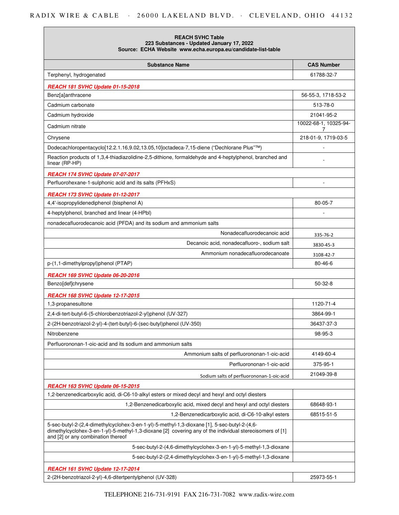## RADIX WIRE & CABLE · 26000 LAKELAND BLVD. · CLEVELAND, OHIO 44132

| <b>REACH SVHC Table</b><br>223 Substances - Updated January 17, 2022<br>Source: ECHA Website www.echa.europa.eu/candidate-list-table                                                                                                           |                            |
|------------------------------------------------------------------------------------------------------------------------------------------------------------------------------------------------------------------------------------------------|----------------------------|
| <b>Substance Name</b>                                                                                                                                                                                                                          | <b>CAS Number</b>          |
| Terphenyl, hydrogenated                                                                                                                                                                                                                        | 61788-32-7                 |
| <b>REACH 181 SVHC Update 01-15-2018</b>                                                                                                                                                                                                        |                            |
| Benz[a]anthracene                                                                                                                                                                                                                              | 56-55-3, 1718-53-2         |
| Cadmium carbonate                                                                                                                                                                                                                              | 513-78-0                   |
| Cadmium hydroxide                                                                                                                                                                                                                              | 21041-95-2                 |
| Cadmium nitrate                                                                                                                                                                                                                                | 10022-68-1, 10325-94-<br>7 |
| Chrysene                                                                                                                                                                                                                                       | 218-01-9, 1719-03-5        |
| Dodecachloropentacyclo[12.2.1.16,9.02,13.05,10]octadeca-7,15-diene ("Dechlorane Plus"™)                                                                                                                                                        |                            |
| Reaction products of 1,3,4-thiadiazolidine-2,5-dithione, formaldehyde and 4-heptylphenol, branched and<br>linear (RP-HP)                                                                                                                       |                            |
| <b>REACH 174 SVHC Update 07-07-2017</b>                                                                                                                                                                                                        |                            |
| Perfluorohexane-1-sulphonic acid and its salts (PFHxS)                                                                                                                                                                                         |                            |
| <b>REACH 173 SVHC Update 01-12-2017</b>                                                                                                                                                                                                        |                            |
| 4,4'-isopropylidenediphenol (bisphenol A)                                                                                                                                                                                                      | 80-05-7                    |
| 4-heptylphenol, branched and linear (4-HPbl)                                                                                                                                                                                                   |                            |
| nonadecafluorodecanoic acid (PFDA) and its sodium and ammonium salts                                                                                                                                                                           |                            |
| Nonadecafluorodecanoic acid                                                                                                                                                                                                                    | 335-76-2                   |
| Decanoic acid, nonadecafluoro-, sodium salt                                                                                                                                                                                                    | 3830-45-3                  |
| Ammonium nonadecafluorodecanoate                                                                                                                                                                                                               | 3108-42-7                  |
| p-(1,1-dimethylpropyl)phenol (PTAP)                                                                                                                                                                                                            | $80 - 46 - 6$              |
| REACH 169 SVHC Update 06-20-2016                                                                                                                                                                                                               |                            |
| Benzo[def]chrysene                                                                                                                                                                                                                             | $50-32-8$                  |
| <b>REACH 168 SVHC Update 12-17-2015</b>                                                                                                                                                                                                        |                            |
| 1,3-propanesultone                                                                                                                                                                                                                             | 1120-71-4                  |
| 2,4-di-tert-butyl-6-(5-chlorobenzotriazol-2-yl)phenol (UV-327)                                                                                                                                                                                 | 3864-99-1                  |
| 2-(2H-benzotriazol-2-yl)-4-(tert-butyl)-6-(sec-butyl)phenol (UV-350)                                                                                                                                                                           | 36437-37-3                 |
| Nitrobenzene                                                                                                                                                                                                                                   | 98-95-3                    |
| Perfluorononan-1-oic-acid and its sodium and ammonium salts                                                                                                                                                                                    |                            |
| Ammonium salts of perfluorononan-1-oic-acid                                                                                                                                                                                                    | 4149-60-4                  |
| Perfluorononan-1-oic-acid                                                                                                                                                                                                                      | 375-95-1                   |
| Sodium salts of perfluorononan-1-oic-acid                                                                                                                                                                                                      | 21049-39-8                 |
| <b>REACH 163 SVHC Update 06-15-2015</b>                                                                                                                                                                                                        |                            |
| 1,2-benzenedicarboxylic acid, di-C6-10-alkyl esters or mixed decyl and hexyl and octyl diesters                                                                                                                                                |                            |
| 1,2-Benzenedicarboxylic acid, mixed decyl and hexyl and octyl diesters                                                                                                                                                                         | 68648-93-1                 |
| 1,2-Benzenedicarboxylic acid, di-C6-10-alkyl esters                                                                                                                                                                                            | 68515-51-5                 |
| 5-sec-butyl-2-(2,4-dimethylcyclohex-3-en-1-yl)-5-methyl-1,3-dioxane [1], 5-sec-butyl-2-(4,6-<br>dimethylcyclohex-3-en-1-yl)-5-methyl-1,3-dioxane [2] covering any of the individual stereoisomers of [1]<br>and [2] or any combination thereof |                            |
| 5-sec-butyl-2-(4,6-dimethylcyclohex-3-en-1-yl)-5-methyl-1,3-dioxane                                                                                                                                                                            |                            |
| 5-sec-butyl-2-(2,4-dimethylcyclohex-3-en-1-yl)-5-methyl-1,3-dioxane                                                                                                                                                                            |                            |
| <b>REACH 161 SVHC Update 12-17-2014</b>                                                                                                                                                                                                        |                            |
| 2-(2H-benzotriazol-2-yl)-4,6-ditertpentylphenol (UV-328)                                                                                                                                                                                       | 25973-55-1                 |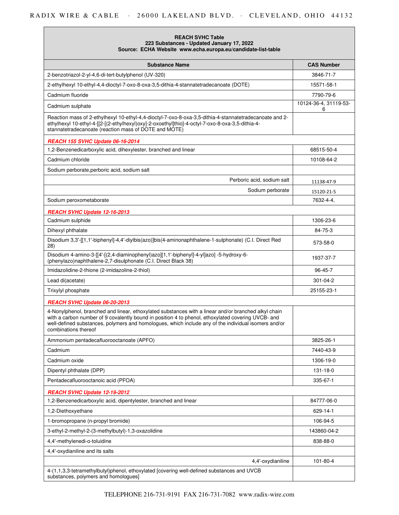| <b>REACH SVHC Table</b><br>223 Substances - Updated January 17, 2022<br>Source: ECHA Website www.echa.europa.eu/candidate-list-table                                                                                                                                                                                                       |                            |
|--------------------------------------------------------------------------------------------------------------------------------------------------------------------------------------------------------------------------------------------------------------------------------------------------------------------------------------------|----------------------------|
| <b>Substance Name</b>                                                                                                                                                                                                                                                                                                                      | <b>CAS Number</b>          |
| 2-benzotriazol-2-yl-4,6-di-tert-butylphenol (UV-320)                                                                                                                                                                                                                                                                                       | 3846-71-7                  |
| 2-ethylhexyl 10-ethyl-4,4-dioctyl-7-oxo-8-oxa-3,5-dithia-4-stannatetradecanoate (DOTE)                                                                                                                                                                                                                                                     | 15571-58-1                 |
| Cadmium fluoride                                                                                                                                                                                                                                                                                                                           | 7790-79-6                  |
| Cadmium sulphate                                                                                                                                                                                                                                                                                                                           | 10124-36-4, 31119-53-<br>6 |
| Reaction mass of 2-ethylhexyl 10-ethyl-4,4-dioctyl-7-oxo-8-oxa-3,5-dithia-4-stannatetradecanoate and 2-<br>ethylhexyl 10-ethyl-4-[[2-[(2-ethylhexyl)oxy]-2-oxoethyl]thio]-4-octyl-7-oxo-8-oxa-3,5-dithia-4-<br>stannatetradecanoate (reaction mass of DOTE and MOTE)                                                                       |                            |
| REACH 155 SVHC Update 06-16-2014                                                                                                                                                                                                                                                                                                           |                            |
| 1,2-Benzenedicarboxylic acid, dihexylester, branched and linear                                                                                                                                                                                                                                                                            | 68515-50-4                 |
| Cadmium chloride                                                                                                                                                                                                                                                                                                                           | 10108-64-2                 |
| Sodium perborate, perboric acid, sodium salt                                                                                                                                                                                                                                                                                               |                            |
| Perboric acid, sodium salt                                                                                                                                                                                                                                                                                                                 | 11138-47-9                 |
| Sodium perborate                                                                                                                                                                                                                                                                                                                           | 15120-21-5                 |
| Sodium peroxometaborate                                                                                                                                                                                                                                                                                                                    | 7632-4-4,                  |
| REACH SVHC Update 12-16-2013                                                                                                                                                                                                                                                                                                               |                            |
| Cadmium sulphide                                                                                                                                                                                                                                                                                                                           | 1306-23-6                  |
| Dihexyl phthalate                                                                                                                                                                                                                                                                                                                          | 84-75-3                    |
| Disodium 3,3'-[[1,1'-biphenyl]-4,4'-diylbis(azo)]bis(4-aminonaphthalene-1-sulphonate) (C.I. Direct Red<br>28)                                                                                                                                                                                                                              | 573-58-0                   |
| Disodium 4-amino-3-[[4'-[(2,4-diaminophenyl)azo][1,1'-biphenyl]-4-yl]azo] -5-hydroxy-6-<br>(phenylazo)naphthalene-2,7-disulphonate (C.I. Direct Black 38)                                                                                                                                                                                  | 1937-37-7                  |
| Imidazolidine-2-thione (2-imidazoline-2-thiol)                                                                                                                                                                                                                                                                                             | 96-45-7                    |
| Lead di(acetate)                                                                                                                                                                                                                                                                                                                           | 301-04-2                   |
| Trixylyl phosphate                                                                                                                                                                                                                                                                                                                         | 25155-23-1                 |
| REACH SVHC Update 06-20-2013                                                                                                                                                                                                                                                                                                               |                            |
| 4-Nonylphenol, branched and linear, ethoxylated substances with a linear and/or branched alkyl chain<br>with a carbon number of 9 covalently bound in position 4 to phenol, ethoxylated covering UVCB- and<br>well-defined substances, polymers and homologues, which include any of the individual isomers and/or<br>combinations thereof |                            |
| Ammonium pentadecafluorooctanoate (APFO)                                                                                                                                                                                                                                                                                                   | 3825-26-1                  |
| Cadmium                                                                                                                                                                                                                                                                                                                                    | 7440-43-9                  |
| Cadmium oxide                                                                                                                                                                                                                                                                                                                              | 1306-19-0                  |
| Dipentyl phthalate (DPP)                                                                                                                                                                                                                                                                                                                   | 131-18-0                   |
| Pentadecafluorooctanoic acid (PFOA)                                                                                                                                                                                                                                                                                                        | 335-67-1                   |
| REACH SVHC Update 12-19-2012                                                                                                                                                                                                                                                                                                               |                            |
| 1,2-Benzenedicarboxylic acid, dipentylester, branched and linear                                                                                                                                                                                                                                                                           | 84777-06-0                 |
| 1,2-Diethoxyethane                                                                                                                                                                                                                                                                                                                         | 629-14-1                   |
| 1-bromopropane (n-propyl bromide)                                                                                                                                                                                                                                                                                                          | 106-94-5                   |
| 3-ethyl-2-methyl-2-(3-methylbutyl)-1,3-oxazolidine                                                                                                                                                                                                                                                                                         | 143860-04-2                |
| 4,4'-methylenedi-o-toluidine                                                                                                                                                                                                                                                                                                               | 838-88-0                   |
| 4,4'-oxydianiline and its salts                                                                                                                                                                                                                                                                                                            |                            |
| 4,4'-oxydianiline                                                                                                                                                                                                                                                                                                                          | $101 - 80 - 4$             |
| 4-(1,1,3,3-tetramethylbutyl)phenol, ethoxylated [covering well-defined substances and UVCB<br>substances, polymers and homologues]                                                                                                                                                                                                         |                            |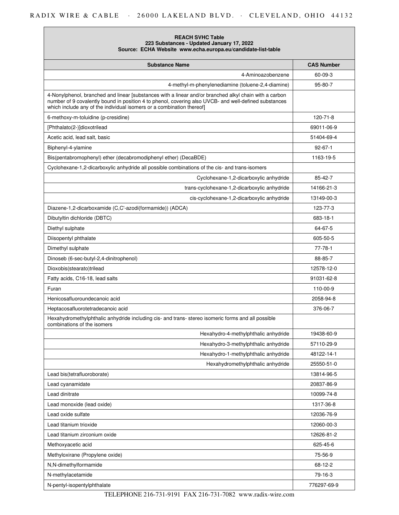| <b>REACH SVHC Table</b>                                      |
|--------------------------------------------------------------|
| 223 Substances - Updated January 17, 2022                    |
| Source: ECHA Website www.echa.europa.eu/candidate-list-table |

| <b>Substance Name</b>                                                                                                                                                                                                                                                                    | <b>CAS Number</b> |
|------------------------------------------------------------------------------------------------------------------------------------------------------------------------------------------------------------------------------------------------------------------------------------------|-------------------|
| 4-Aminoazobenzene                                                                                                                                                                                                                                                                        | 60-09-3           |
| 4-methyl-m-phenylenediamine (toluene-2,4-diamine)                                                                                                                                                                                                                                        | $95 - 80 - 7$     |
| 4-Nonylphenol, branched and linear [substances with a linear and/or branched alkyl chain with a carbon<br>number of 9 covalently bound in position 4 to phenol, covering also UVCB- and well-defined substances<br>which include any of the individual isomers or a combination thereof] |                   |
| 6-methoxy-m-toluidine (p-cresidine)                                                                                                                                                                                                                                                      | 120-71-8          |
| [Phthalato(2-)]dioxotrilead                                                                                                                                                                                                                                                              | 69011-06-9        |
| Acetic acid, lead salt, basic                                                                                                                                                                                                                                                            | 51404-69-4        |
| Biphenyl-4-ylamine                                                                                                                                                                                                                                                                       | $92 - 67 - 1$     |
| Bis(pentabromophenyl) ether (decabromodiphenyl ether) (DecaBDE)                                                                                                                                                                                                                          | 1163-19-5         |
| Cyclohexane-1,2-dicarboxylic anhydride all possible combinations of the cis- and trans-isomers                                                                                                                                                                                           |                   |
| Cyclohexane-1,2-dicarboxylic anhydride                                                                                                                                                                                                                                                   | 85-42-7           |
| trans-cyclohexane-1,2-dicarboxylic anhydride                                                                                                                                                                                                                                             | 14166-21-3        |
| cis-cyclohexane-1,2-dicarboxylic anhydride                                                                                                                                                                                                                                               | 13149-00-3        |
| Diazene-1,2-dicarboxamide (C,C'-azodi(formamide)) (ADCA)                                                                                                                                                                                                                                 | 123-77-3          |
| Dibutyltin dichloride (DBTC)                                                                                                                                                                                                                                                             | 683-18-1          |
| Diethyl sulphate                                                                                                                                                                                                                                                                         | 64-67-5           |
| Diisopentyl phthalate                                                                                                                                                                                                                                                                    | 605-50-5          |
| Dimethyl sulphate                                                                                                                                                                                                                                                                        | 77-78-1           |
| Dinoseb (6-sec-butyl-2,4-dinitrophenol)                                                                                                                                                                                                                                                  | 88-85-7           |
| Dioxobis(stearato)trilead                                                                                                                                                                                                                                                                | 12578-12-0        |
| Fatty acids, C16-18, lead salts                                                                                                                                                                                                                                                          | 91031-62-8        |
| Furan                                                                                                                                                                                                                                                                                    | 110-00-9          |
| Henicosafluoroundecanoic acid                                                                                                                                                                                                                                                            | 2058-94-8         |
| Heptacosafluorotetradecanoic acid                                                                                                                                                                                                                                                        | 376-06-7          |
| Hexahydromethylphthalic anhydride including cis- and trans- stereo isomeric forms and all possible<br>combinations of the isomers                                                                                                                                                        |                   |
| Hexahydro-4-methylphthalic anhydride                                                                                                                                                                                                                                                     | 19438-60-9        |
| Hexahydro-3-methylphthalic anhydride                                                                                                                                                                                                                                                     | 57110-29-9        |
| Hexahydro-1-methylphthalic anhydride                                                                                                                                                                                                                                                     | 48122-14-1        |
| Hexahydromethylphthalic anhydride                                                                                                                                                                                                                                                        | 25550-51-0        |
| Lead bis(tetrafluoroborate)                                                                                                                                                                                                                                                              | 13814-96-5        |
| Lead cyanamidate                                                                                                                                                                                                                                                                         | 20837-86-9        |
| Lead dinitrate                                                                                                                                                                                                                                                                           | 10099-74-8        |
| Lead monoxide (lead oxide)                                                                                                                                                                                                                                                               | 1317-36-8         |
| Lead oxide sulfate                                                                                                                                                                                                                                                                       | 12036-76-9        |
| Lead titanium trioxide                                                                                                                                                                                                                                                                   | 12060-00-3        |
| Lead titanium zirconium oxide                                                                                                                                                                                                                                                            | 12626-81-2        |
| Methoxyacetic acid                                                                                                                                                                                                                                                                       | 625-45-6          |
| Methyloxirane (Propylene oxide)                                                                                                                                                                                                                                                          | 75-56-9           |
| N,N-dimethylformamide                                                                                                                                                                                                                                                                    | 68-12-2           |
| N-methylacetamide                                                                                                                                                                                                                                                                        | 79-16-3           |
| N-pentyl-isopentylphthalate                                                                                                                                                                                                                                                              | 776297-69-9       |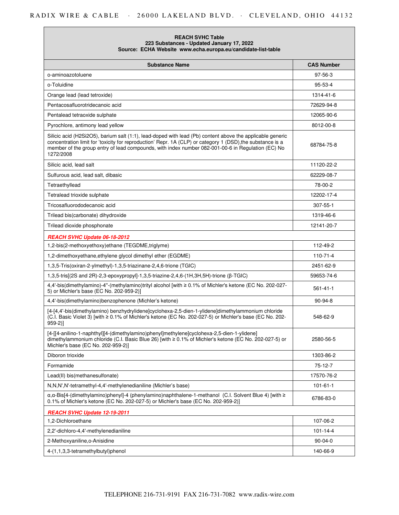## RADIX WIRE & CABLE · 26000 LAKELAND BLVD. · CLEVELAND, OHIO 44132

| <b>REACH SVHC Table</b><br>223 Substances - Updated January 17, 2022<br>Source: ECHA Website www.echa.europa.eu/candidate-list-table                                                                                                                                                                                                      |                   |
|-------------------------------------------------------------------------------------------------------------------------------------------------------------------------------------------------------------------------------------------------------------------------------------------------------------------------------------------|-------------------|
| <b>Substance Name</b>                                                                                                                                                                                                                                                                                                                     | <b>CAS Number</b> |
| o-aminoazotoluene                                                                                                                                                                                                                                                                                                                         | $97 - 56 - 3$     |
| o-Toluidine                                                                                                                                                                                                                                                                                                                               | 95-53-4           |
| Orange lead (lead tetroxide)                                                                                                                                                                                                                                                                                                              | 1314-41-6         |
| Pentacosafluorotridecanoic acid                                                                                                                                                                                                                                                                                                           | 72629-94-8        |
| Pentalead tetraoxide sulphate                                                                                                                                                                                                                                                                                                             | 12065-90-6        |
| Pyrochlore, antimony lead yellow                                                                                                                                                                                                                                                                                                          | 8012-00-8         |
| Silicic acid (H2Si2O5), barium salt (1:1), lead-doped with lead (Pb) content above the applicable generic<br>concentration limit for 'toxicity for reproduction' Repr. 1A (CLP) or category 1 (DSD), the substance is a<br>member of the group entry of lead compounds, with index number 082-001-00-6 in Regulation (EC) No<br>1272/2008 | 68784-75-8        |
| Silicic acid, lead salt                                                                                                                                                                                                                                                                                                                   | 11120-22-2        |
| Sulfurous acid, lead salt, dibasic                                                                                                                                                                                                                                                                                                        | 62229-08-7        |
| Tetraethyllead                                                                                                                                                                                                                                                                                                                            | 78-00-2           |
| Tetralead trioxide sulphate                                                                                                                                                                                                                                                                                                               | 12202-17-4        |
| Tricosafluorododecanoic acid                                                                                                                                                                                                                                                                                                              | 307-55-1          |
| Trilead bis(carbonate) dihydroxide                                                                                                                                                                                                                                                                                                        | 1319-46-6         |
| Trilead dioxide phosphonate                                                                                                                                                                                                                                                                                                               | 12141-20-7        |
| REACH SVHC Update 06-18-2012                                                                                                                                                                                                                                                                                                              |                   |
| 1,2-bis(2-methoxyethoxy)ethane (TEGDME,triglyme)                                                                                                                                                                                                                                                                                          | 112-49-2          |
| 1,2-dimethoxyethane, ethylene glycol dimethyl ether (EGDME)                                                                                                                                                                                                                                                                               | $110 - 71 - 4$    |
| 1,3,5-Tris(oxiran-2-ylmethyl)-1,3,5-triazinane-2,4,6-trione (TGIC)                                                                                                                                                                                                                                                                        | 2451-62-9         |
| 1,3,5-tris[(2S and 2R)-2,3-epoxypropyl]-1,3,5-triazine-2,4,6-(1H,3H,5H)-trione (β-TGIC)                                                                                                                                                                                                                                                   | 59653-74-6        |
| 4,4'-bis(dimethylamino)-4"-(methylamino)trityl alcohol [with ≥ 0.1% of Michler's ketone (EC No. 202-027-<br>5) or Michler's base (EC No. 202-959-2)]                                                                                                                                                                                      | $561 - 41 - 1$    |
| 4,4'-bis(dimethylamino)benzophenone (Michler's ketone)                                                                                                                                                                                                                                                                                    | 90-94-8           |
| [4-[4,4'-bis(dimethylamino) benzhydrylidene]cyclohexa-2,5-dien-1-ylidene]dimethylammonium chloride<br>(C.I. Basic Violet 3) [with ≥ 0.1% of Michler's ketone (EC No. 202-027-5) or Michler's base (EC No. 202-<br>$959-2$ ]                                                                                                               | 548-62-9          |
| [4-[[4-anilino-1-naphthyl][4-(dimethylamino)phenyl]methylene]cyclohexa-2,5-dien-1-ylidene]<br>dimethylammonium chloride (C.I. Basic Blue 26) [with ≥ 0.1% of Michler's ketone (EC No. 202-027-5) or<br>Michler's base (EC No. 202-959-2)]                                                                                                 | 2580-56-5         |
| Diboron trioxide                                                                                                                                                                                                                                                                                                                          | 1303-86-2         |
| Formamide                                                                                                                                                                                                                                                                                                                                 | 75-12-7           |
| Lead(II) bis(methanesulfonate)                                                                                                                                                                                                                                                                                                            | 17570-76-2        |
| N, N, N', N'-tetramethyl-4, 4'-methylenedianiline (Michler's base)                                                                                                                                                                                                                                                                        | $101 - 61 - 1$    |
| $\alpha$ , $\alpha$ -Bis[4-(dimethylamino)phenyl]-4 (phenylamino)naphthalene-1-methanol (C.I. Solvent Blue 4) [with $\ge$<br>0.1% of Michler's ketone (EC No. 202-027-5) or Michler's base (EC No. 202-959-2)]                                                                                                                            | 6786-83-0         |
| REACH SVHC Update 12-19-2011                                                                                                                                                                                                                                                                                                              |                   |
| 1,2-Dichloroethane                                                                                                                                                                                                                                                                                                                        | 107-06-2          |
| 2,2'-dichloro-4,4'-methylenedianiline                                                                                                                                                                                                                                                                                                     | $101 - 14 - 4$    |
| 2-Methoxyaniline, o-Anisidine                                                                                                                                                                                                                                                                                                             | $90 - 04 - 0$     |
| 4-(1,1,3,3-tetramethylbutyl)phenol                                                                                                                                                                                                                                                                                                        | 140-66-9          |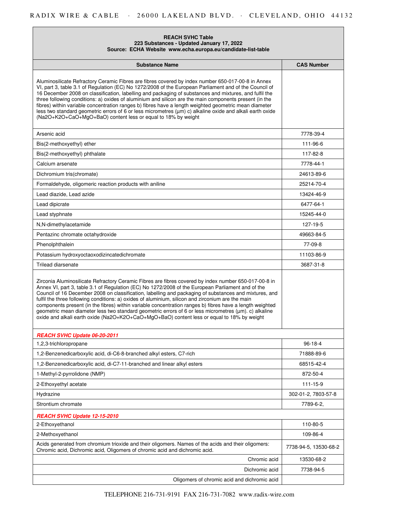### **REACH SVHC Table 223 Substances - Updated January 17, 2022 Source: ECHA Website www.echa.europa.eu/candidate-list-table**

| <b>Substance Name</b>                                                                                                                                                                                                                                                                                                                                                                                                                                                                                                                                                                                                                                                                                                                        | <b>CAS Number</b>     |
|----------------------------------------------------------------------------------------------------------------------------------------------------------------------------------------------------------------------------------------------------------------------------------------------------------------------------------------------------------------------------------------------------------------------------------------------------------------------------------------------------------------------------------------------------------------------------------------------------------------------------------------------------------------------------------------------------------------------------------------------|-----------------------|
| Aluminosilicate Refractory Ceramic Fibres are fibres covered by index number 650-017-00-8 in Annex<br>VI, part 3, table 3.1 of Regulation (EC) No 1272/2008 of the European Parliament and of the Council of<br>16 December 2008 on classification, labelling and packaging of substances and mixtures, and fulfil the<br>three following conditions: a) oxides of aluminium and silicon are the main components present (in the<br>fibres) within variable concentration ranges b) fibres have a length weighted geometric mean diameter<br>less two standard geometric errors of 6 or less micrometres $(\mu m)$ c) alkaline oxide and alkali earth oxide<br>(Na2O+K2O+CaO+MgO+BaO) content less or equal to 18% by weight                 |                       |
| Arsenic acid                                                                                                                                                                                                                                                                                                                                                                                                                                                                                                                                                                                                                                                                                                                                 | 7778-39-4             |
| Bis(2-methoxyethyl) ether                                                                                                                                                                                                                                                                                                                                                                                                                                                                                                                                                                                                                                                                                                                    | 111-96-6              |
| Bis(2-methoxyethyl) phthalate                                                                                                                                                                                                                                                                                                                                                                                                                                                                                                                                                                                                                                                                                                                | 117-82-8              |
| Calcium arsenate                                                                                                                                                                                                                                                                                                                                                                                                                                                                                                                                                                                                                                                                                                                             | 7778-44-1             |
| Dichromium tris(chromate)                                                                                                                                                                                                                                                                                                                                                                                                                                                                                                                                                                                                                                                                                                                    | 24613-89-6            |
| Formaldehyde, oligomeric reaction products with aniline                                                                                                                                                                                                                                                                                                                                                                                                                                                                                                                                                                                                                                                                                      | 25214-70-4            |
| Lead diazide, Lead azide                                                                                                                                                                                                                                                                                                                                                                                                                                                                                                                                                                                                                                                                                                                     | 13424-46-9            |
| Lead dipicrate                                                                                                                                                                                                                                                                                                                                                                                                                                                                                                                                                                                                                                                                                                                               | 6477-64-1             |
| Lead styphnate                                                                                                                                                                                                                                                                                                                                                                                                                                                                                                                                                                                                                                                                                                                               | 15245-44-0            |
| N,N-dimethylacetamide                                                                                                                                                                                                                                                                                                                                                                                                                                                                                                                                                                                                                                                                                                                        | 127-19-5              |
| Pentazinc chromate octahydroxide                                                                                                                                                                                                                                                                                                                                                                                                                                                                                                                                                                                                                                                                                                             | 49663-84-5            |
| Phenolphthalein                                                                                                                                                                                                                                                                                                                                                                                                                                                                                                                                                                                                                                                                                                                              | 77-09-8               |
| Potassium hydroxyoctaoxodizincatedichromate                                                                                                                                                                                                                                                                                                                                                                                                                                                                                                                                                                                                                                                                                                  | 11103-86-9            |
| Trilead diarsenate                                                                                                                                                                                                                                                                                                                                                                                                                                                                                                                                                                                                                                                                                                                           | 3687-31-8             |
| Zirconia Aluminosilicate Refractory Ceramic Fibres are fibres covered by index number 650-017-00-8 in<br>Annex VI, part 3, table 3.1 of Regulation (EC) No 1272/2008 of the European Parliament and of the<br>Council of 16 December 2008 on classification, labelling and packaging of substances and mixtures, and<br>fulfil the three following conditions: a) oxides of aluminium, silicon and zirconium are the main<br>components present (in the fibres) within variable concentration ranges b) fibres have a length weighted<br>geometric mean diameter less two standard geometric errors of 6 or less micrometres (µm). c) alkaline<br>oxide and alkali earth oxide (Na2O+K2O+CaO+MgO+BaO) content less or equal to 18% by weight |                       |
| REACH SVHC Update 06-20-2011                                                                                                                                                                                                                                                                                                                                                                                                                                                                                                                                                                                                                                                                                                                 |                       |
| 1,2,3-trichloropropane                                                                                                                                                                                                                                                                                                                                                                                                                                                                                                                                                                                                                                                                                                                       | $96 - 18 - 4$         |
| 1,2-Benzenedicarboxylic acid, di-C6-8-branched alkyl esters, C7-rich                                                                                                                                                                                                                                                                                                                                                                                                                                                                                                                                                                                                                                                                         | 71888-89-6            |
| 1,2-Benzenedicarboxylic acid, di-C7-11-branched and linear alkyl esters                                                                                                                                                                                                                                                                                                                                                                                                                                                                                                                                                                                                                                                                      | 68515-42-4            |
| 1-Methyl-2-pyrrolidone (NMP)                                                                                                                                                                                                                                                                                                                                                                                                                                                                                                                                                                                                                                                                                                                 | 872-50-4              |
| 2-Ethoxyethyl acetate                                                                                                                                                                                                                                                                                                                                                                                                                                                                                                                                                                                                                                                                                                                        | 111-15-9              |
| Hydrazine                                                                                                                                                                                                                                                                                                                                                                                                                                                                                                                                                                                                                                                                                                                                    | 302-01-2, 7803-57-8   |
| Strontium chromate                                                                                                                                                                                                                                                                                                                                                                                                                                                                                                                                                                                                                                                                                                                           | 7789-6-2,             |
| REACH SVHC Update 12-15-2010                                                                                                                                                                                                                                                                                                                                                                                                                                                                                                                                                                                                                                                                                                                 |                       |
| 2-Ethoxyethanol                                                                                                                                                                                                                                                                                                                                                                                                                                                                                                                                                                                                                                                                                                                              | 110-80-5              |
| 2-Methoxyethanol                                                                                                                                                                                                                                                                                                                                                                                                                                                                                                                                                                                                                                                                                                                             | 109-86-4              |
| Acids generated from chromium trioxide and their oligomers. Names of the acids and their oligomers:<br>Chromic acid, Dichromic acid, Oligomers of chromic acid and dichromic acid.                                                                                                                                                                                                                                                                                                                                                                                                                                                                                                                                                           | 7738-94-5, 13530-68-2 |
| Chromic acid                                                                                                                                                                                                                                                                                                                                                                                                                                                                                                                                                                                                                                                                                                                                 | 13530-68-2            |
| Dichromic acid                                                                                                                                                                                                                                                                                                                                                                                                                                                                                                                                                                                                                                                                                                                               | 7738-94-5             |
| Oligomers of chromic acid and dichromic acid                                                                                                                                                                                                                                                                                                                                                                                                                                                                                                                                                                                                                                                                                                 |                       |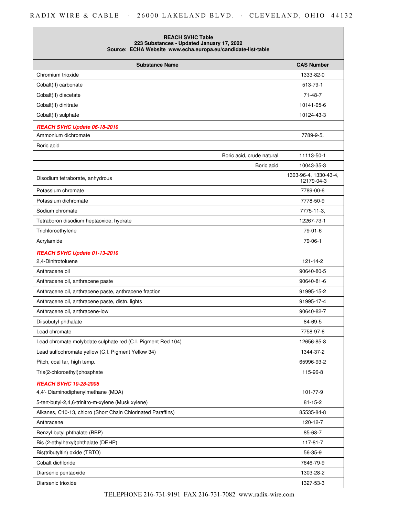| <b>REACH SVHC Table</b><br>223 Substances - Updated January 17, 2022<br>Source: ECHA Website www.echa.europa.eu/candidate-list-table |                                     |
|--------------------------------------------------------------------------------------------------------------------------------------|-------------------------------------|
| <b>Substance Name</b>                                                                                                                | <b>CAS Number</b>                   |
| Chromium trioxide                                                                                                                    | 1333-82-0                           |
| Cobalt(II) carbonate                                                                                                                 | 513-79-1                            |
| Cobalt(II) diacetate                                                                                                                 | 71-48-7                             |
| Cobalt(II) dinitrate                                                                                                                 | 10141-05-6                          |
| Cobalt(II) sulphate                                                                                                                  | 10124-43-3                          |
| REACH SVHC Update 06-18-2010                                                                                                         |                                     |
| Ammonium dichromate                                                                                                                  | 7789-9-5,                           |
| Boric acid                                                                                                                           |                                     |
| Boric acid, crude natural                                                                                                            | 11113-50-1                          |
| Boric acid                                                                                                                           | 10043-35-3                          |
| Disodium tetraborate, anhydrous                                                                                                      | 1303-96-4, 1330-43-4,<br>12179-04-3 |
| Potassium chromate                                                                                                                   | 7789-00-6                           |
| Potassium dichromate                                                                                                                 | 7778-50-9                           |
| Sodium chromate                                                                                                                      | 7775-11-3,                          |
| Tetraboron disodium heptaoxide, hydrate                                                                                              | 12267-73-1                          |
| Trichloroethylene                                                                                                                    | 79-01-6                             |
| Acrylamide                                                                                                                           | 79-06-1                             |
| REACH SVHC Update 01-13-2010                                                                                                         |                                     |
| 2,4-Dinitrotoluene                                                                                                                   | $121 - 14 - 2$                      |
| Anthracene oil                                                                                                                       | 90640-80-5                          |
| Anthracene oil, anthracene paste                                                                                                     | 90640-81-6                          |
| Anthracene oil, anthracene paste, anthracene fraction                                                                                | 91995-15-2                          |
| Anthracene oil, anthracene paste, distn. lights                                                                                      | 91995-17-4                          |
| Anthracene oil, anthracene-low                                                                                                       | 90640-82-7                          |
| Diisobutyl phthalate                                                                                                                 | 84-69-5                             |
| Lead chromate                                                                                                                        | 7758-97-6                           |
| Lead chromate molybdate sulphate red (C.I. Pigment Red 104)                                                                          | 12656-85-8                          |
| Lead sulfochromate yellow (C.I. Pigment Yellow 34)                                                                                   | 1344-37-2                           |
| Pitch, coal tar, high temp.                                                                                                          | 65996-93-2                          |
| Tris(2-chloroethyl)phosphate                                                                                                         | 115-96-8                            |
| <b>REACH SVHC 10-28-2008</b>                                                                                                         |                                     |
| 4,4'- Diaminodiphenylmethane (MDA)                                                                                                   | 101-77-9                            |
| 5-tert-butyl-2,4,6-trinitro-m-xylene (Musk xylene)                                                                                   | $81 - 15 - 2$                       |
| Alkanes, C10-13, chloro (Short Chain Chlorinated Paraffins)                                                                          | 85535-84-8                          |
| Anthracene                                                                                                                           | 120-12-7                            |
| Benzyl butyl phthalate (BBP)                                                                                                         | 85-68-7                             |
| Bis (2-ethylhexyl)phthalate (DEHP)                                                                                                   | 117-81-7                            |
| Bis(tributyltin) oxide (TBTO)                                                                                                        | 56-35-9                             |
| Cobalt dichloride                                                                                                                    | 7646-79-9                           |
| Diarsenic pentaoxide                                                                                                                 | 1303-28-2                           |
| Diarsenic trioxide                                                                                                                   | 1327-53-3                           |